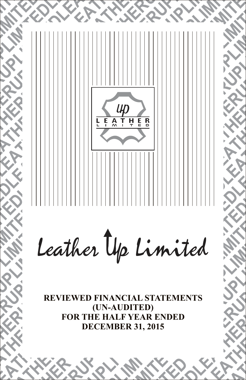

**FOR THE HALF YEAR ENDED DECEMBER 31, 2015**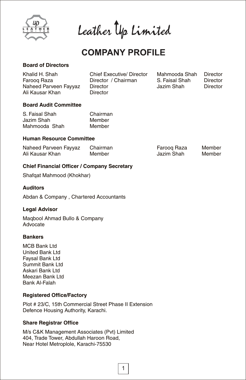

Leather Up Limited

# **COMPANY PROFILE**

# **Board of Directors**

| Khalid H. Shah        | Chief Executive/ Director | Mahmooda Shah  | Director |
|-----------------------|---------------------------|----------------|----------|
| Faroog Raza           | Director / Chairman       | S. Faisal Shah | Director |
| Naheed Parveen Fayyaz | Director                  | Jazim Shah     | Director |
| Ali Kausar Khan       | Director                  |                |          |

# **Board Audit Committee**

| S. Faisal Shah | Chairman |
|----------------|----------|
| Jazim Shah     | Member   |
| Mahmooda Shah  | Member   |

# **Human Resource Committee**

| Naheed Parveen Fayyaz | Chairman | Faroog Raza | Member |
|-----------------------|----------|-------------|--------|
| Ali Kausar Khan       | Member   | Jazim Shah  | Member |

# **Chief Financial Officer / Company Secretary**

Shafqat Mahmood (Khokhar)

# **Auditors**

Abdan & Company , Chartered Accountants

# **Legal Advisor**

Maqbool Ahmad Bullo & Company Advocate

# **Bankers**

MCB Bank Ltd United Bank Ltd Faysal Bank Ltd Summit Bank Ltd Askari Bank Ltd Meezan Bank Ltd Bank Al-Falah

# **Registered Office/Factory**

Plot # 23/C, 15th Commercial Street Phase II Extension Defence Housing Authority, Karachi.

# **Share Registrar Office**

M/s C&K Management Associates (Pvt) Limited 404, Trade Tower, Abdullah Haroon Road, Near Hotel Metroplole, Karachi-75530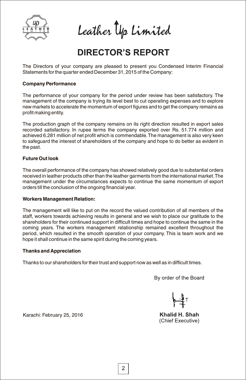

Leather Up Limited

# **DIRECTOR'S REPORT**

The Directors of your company are pleased to present you Condensed Interim Financial Statements for the quarter ended December 31, 2015 of the Company:

# **Company Performance**

The performance of your company for the period under review has been satisfactory. The management of the company is trying its level best to cut operating expenses and to explore new markets to accelerate the momentum of export figures and to get the company remains as profit making entity.

The production graph of the company remains on its right direction resulted in export sales recorded satisfactory. In rupee terms the company exported over Rs. 51.774 million and achieved 6.281 million of net profit which is commendable.The management is also very keen to safeguard the interest of shareholders of the company and hope to do better as evident in the past.

# **Future Out look**

The overall performance of the company has showed relatively good due to substantial orders received in leather products other than the leather garments from the international market.The management under the circumstances expects to continue the same momentum of export orders till the conclusion of the ongoing financial year.

### **Workers Management Relation:**

The management will like to put on the record the valued contribution of all members of the staff, workers towards achieving results in general and we wish to place our gratitude to the shareholders for their continued support in difficult times and hope to continue the same in the coming years. The workers management relationship remained excellent throughout the period, which resulted in the smooth operation of your company. This is team work and we hope it shall continue in the same spirit during the coming years.

### **Thanks and Appreciation**

Thanks to our shareholders for their trust and support now as well as in difficult times.

By order of the Board

Khalid H. Shah (Chief Executive)

Karachi: February 25, 2016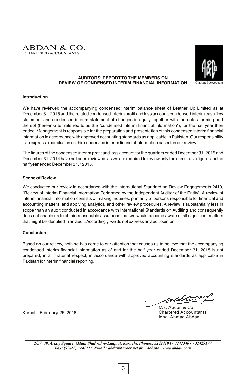



### **AUDITORS' REPORT TO THE MEMBERS ON REVIEW OF CONDENSED INTERIM FINANCIAL INFORMATION**

### **Introduction**

We have reviewed the accompanying condensed interim balance sheet of Leather Up Limited as at December 31, 2015 and the related condensed interim profit and loss account, condensed interim cash flow statement and condensed interim statement of changes in equity together with the notes forming part thereof (here-in-after referred to as the "condensed interim financial information"), for the half year then ended. Management is responsible for the preparation and presentation of this condensed interim financial information in accordance with approved accounting standards as applicable in Pakistan. Our responsibility is to express a conclusion on this condensed interim financial information based on our review.

The figures of the condensed interim profit and loss account for the quarters ended December 31, 2015 and December 31, 2014 have not been reviewed, as we are required to review only the cumulative figures for the half year ended December 31, 12015.

### **Scope of Review**

We conducted our review in accordance with the International Standard on Review Engagements 2410, "Review of Interim Financial Information Performed by the Independent Auditor of the Entity". A review of interim financial information consists of making inquiries, primarily of persons responsible for financial and accounting matters, and applying analytical and other review procedures. A review is substantially less in scope than an audit conducted in accordance with International Standards on Auditing and consequently does not enable us to obtain reasonable assurance that we would become aware of all significant matters that might be identified in an audit.Accordingly, we do not express an audit opinion.

### **Conclusion**

Based on our review, nothing has come to our attention that causes us to believe that the accompanying condensed interim financial information as of and for the half year ended December 31, 2015 is not prepared, in all material respect, in accordance with approved accounting standards as applicable in Pakistan for interim financial reporting.

Karach: February 25, 2016

<u>enhsoin</u>

M/s. Abdan & Co. Chartered Accountants Iqbal Ahmad Abdan

*2/37, 39, Arkay Square, (Main Shahrah-e-Liaquat, Karachi, Phones: 32424194 - 32423407 - 32429177 Fax: (92-21) 3241771 Email : abdan@cyber.net.pk Website : www.abdan.com*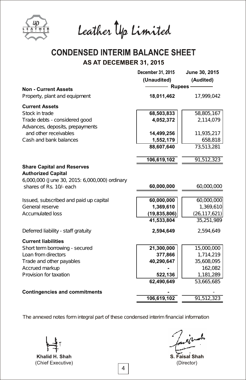

Leather Up Limited

# **CONDENSED INTERIM BALANCE SHEET** AS AT DECEMBER 31, 2015

|                                                                                                                 | December 31, 2015<br>(Unaudited) | June 30, 2015<br>(Audited) |
|-----------------------------------------------------------------------------------------------------------------|----------------------------------|----------------------------|
| <b>Non - Current Assets</b>                                                                                     | <b>Rupees</b>                    |                            |
| Property, plant and equipment                                                                                   | 18,011,462                       | 17,999,042                 |
| <b>Current Assets</b>                                                                                           |                                  |                            |
| Stock in trade                                                                                                  | 68,503,833                       | 58,805,167                 |
| Trade debts - considered good                                                                                   | 4,052,372                        | 2,114,079                  |
| Advances, deposits, prepayments                                                                                 |                                  |                            |
| and other receivables                                                                                           | 14,499,256                       | 11,935,217                 |
| Cash and bank balances                                                                                          | 1,552,179                        | 658,818                    |
|                                                                                                                 | 88,607,640                       | 73,513,281                 |
|                                                                                                                 | 106,619,102                      | 91,512,323                 |
| <b>Share Capital and Reserves</b><br><b>Authorized Capital</b><br>6,000,000 (June 30, 2015: 6,000,000) ordinary |                                  |                            |
| shares of Rs. 10/- each                                                                                         | 60,000,000                       | 60,000,000                 |
| Issued, subscribed and paid up capital                                                                          | 60,000,000                       | 60,000,000                 |
| General reserve                                                                                                 | 1,369,610                        | 1,369,610                  |
| Accumulated loss                                                                                                | (19, 835, 806)                   | (26, 117, 621)             |
|                                                                                                                 | 41,533,804                       | 35, 251, 989               |
| Deferred liability - staff gratuity                                                                             | 2,594,649                        | 2,594,649                  |
| <b>Current liabilities</b>                                                                                      |                                  |                            |
| Short term borrowing - secured                                                                                  | 21,300,000                       | 15,000,000                 |
| Loan from directors                                                                                             | 377,866                          | 1,714,219                  |
| Trade and other payables                                                                                        | 40,290,647                       | 35,608,095                 |
| Accrued markup                                                                                                  |                                  | 162,082                    |
| Provision for taxation                                                                                          | 522,136                          | 1,181,289                  |
|                                                                                                                 | 62,490,649                       | 53,665,685                 |
| <b>Contingencies and commitments</b>                                                                            |                                  |                            |
|                                                                                                                 | 106,619,102                      | 91,512,323                 |
|                                                                                                                 |                                  |                            |

Khalid H. Shah (Chief Executive)

S. Faisal Shah(Director)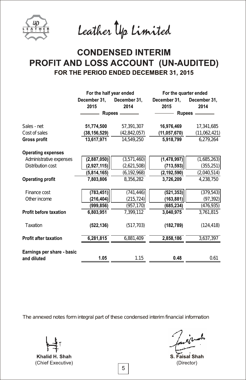

Leather Up Limited

# **CONDENSED INTERIM** PROFIT AND LOSS ACCOUNT (UN-AUDITED) FOR THE PERIOD ENDED DECEMBER 31, 2015

|                               | For the half year ended |                | For the quarter ended |              |  |
|-------------------------------|-------------------------|----------------|-----------------------|--------------|--|
|                               | December 31,            | December 31,   | December 31,          | December 31, |  |
|                               | 2015                    | 2014           | 2015                  | 2014         |  |
|                               |                         | Rupees —       |                       | Rupees —     |  |
| Sales - net                   | 51,774,500              | 57,391,307     | 16,976,469            | 17,341,685   |  |
| Cost of sales                 | (38, 156, 529)          | (42, 842, 057) | (11, 057, 670)        | (11,062,421) |  |
| <b>Gross profit</b>           | 13,617,971              | 14,549,250     | 5,918,799             | 6,279,264    |  |
| <b>Operating expenses</b>     |                         |                |                       |              |  |
| Administrative expenses       | (2,887,050)             | (3, 571, 460)  | (1,478,997)           | (1,685,263)  |  |
| Distribution cost             | (2,927,115)             | (2,621,508)    | (713, 593)            | (355, 251)   |  |
|                               | (5,814,165)             | (6, 192, 968)  | (2, 192, 590)         | (2,040,514)  |  |
| <b>Operating profit</b>       | 7,803,806               | 8.356.282      | 3,726,209             | 4.238.750    |  |
| Finance cost                  | (783, 451)              | (741, 446)     | (521, 353)            | (379, 543)   |  |
| O ther income                 | (216, 404)              | (215, 724)     | (163, 881)            | (97, 392)    |  |
|                               | (999, 856)              | (957,170)      | (685, 234)            | (476,935)    |  |
| <b>Profit before taxation</b> | 6,803,951               | 7.399.112      | 3.040.975             | 3,761,815    |  |
| Taxation                      | (522, 136)              | (517, 703)     | (182, 789)            | (124, 418)   |  |
| <b>Profit after taxation</b>  | 6,281,815               | 6,881,409      | 2,858,186             | 3,637,397    |  |
| Earnings per share - basic    |                         |                |                       |              |  |
| and diluted                   | 1.05                    | 1.15           | 0.48                  | 0.61         |  |

Khalid H. Shah (Chief Executive)

S. Faisal Shah(Director)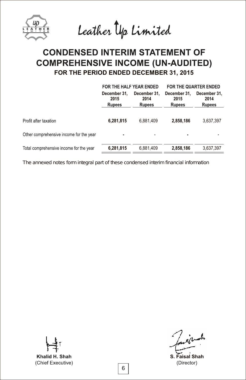Leather Up Limited

# **CONDENSED INTERIM STATEMENT OF COMPREHENSIVE INCOME (UN-AUDITED)** FOR THE PERIOD ENDED DECEMBER 31, 2015

|                                         | FOR THE HALF YEAR ENDED                                                        |           | FOR THE QUARTER ENDED |           |              |                                       |  |
|-----------------------------------------|--------------------------------------------------------------------------------|-----------|-----------------------|-----------|--------------|---------------------------------------|--|
|                                         | December 31.<br>December 31.<br>2015<br>2014<br><b>Rupees</b><br><b>Rupees</b> |           | 2015<br><b>Rupees</b> |           | December 31. | December 31.<br>2014<br><b>Rupees</b> |  |
| Profit after taxation                   | 6,281,815                                                                      | 6,881,409 | 2,858,186             | 3,637,397 |              |                                       |  |
| Other comprehensive income for the year | ٠                                                                              |           | ٠                     |           |              |                                       |  |
| Total comprehensive income for the year | 6,281,815                                                                      | 6,881,409 | 2,858,186             | 3,637,397 |              |                                       |  |

Khalid H. Shah (Chief Executive)

يلمسده

S. Faisal Shah(Director)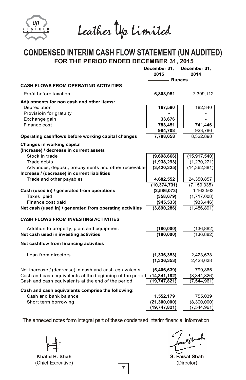

Leather Up Limited

# CONDENSED INTERIM CASH FLOW STATEMENT (UN AUDITED)<br>FOR THE PERIOD ENDED DECEMBER 31, 2015

|                                                          | December 31,<br>2015 | December 31,<br>2014 |
|----------------------------------------------------------|----------------------|----------------------|
|                                                          | – Rupee <del>s</del> |                      |
| <b>CASH FLOWS FROM OPERATING ACTIVITIES</b>              |                      |                      |
| Proót before taxation                                    | 6,803,951            | 7,399,112            |
| Adjustments for non cash and other items:                |                      |                      |
| Depreciation                                             | 167,580              | 182,340              |
| Provisioin for gratuity                                  |                      |                      |
| Exchange gain                                            | 33,676               |                      |
| Finance cost                                             | 783,451              | 741,446              |
|                                                          | 984,708              | 923,786              |
| Operating cashflows before working capital changes       | 7,788,658            | 8,322,898            |
| <b>Changes in working capital</b>                        |                      |                      |
| (Increase) / decrease in current assets                  |                      |                      |
| Stock in trade                                           | (9,698,666)          | (15, 917, 540)       |
| Trade debts                                              | (1,938,293)          | (1, 230, 271)        |
| Advances, deposit, prepayments and other recievable      | (3,420,325)          | (14, 362, 381)       |
| Increase / (decrease) in current liabilities             |                      |                      |
| Trade and other payables                                 | 4,682,552            | 24,350,857           |
|                                                          | (10, 374, 731)       | (7, 159, 335)        |
| Cash (used in) / generated from operations               | (2,586,073)          | 1,163,563            |
| Taxes paid                                               | (358, 679)           | (1,717,008)          |
| Finance cost paid                                        | (945, 533)           | (933, 446)           |
| Net cash (used in) / generated from operating activities | (3,890,286)          | (1,486,891)          |
| <b>CASH FLOWS FROM INVESTING ACTIVITIES</b>              |                      |                      |
| Addition to property, plant and equipment                | (180,000)            | (136, 882)           |
| Net cash used in investing activities                    | (180,000)            | (136, 882)           |
| Net cashflow from financing activities                   |                      |                      |
| Loan from directors                                      | (1, 336, 353)        | 2,423,638            |
|                                                          | (1, 336, 353)        | 2,423,638            |
| Net increase / (decrease) in cash and cash equivalents   | (5,406,639)          | 799,865              |
| Cash and cash equivalents at the beginning of the period | (14, 341, 182)       | (8,344,826)          |
| Cash and cash equivalents at the end of the period       | (19,747,821)         | (7, 544, 961)        |
| Cash and cash equivalents comprise the following:        |                      |                      |
| Cash and bank balance                                    | 1,552,179            | 755,039              |
| Short term borrowing                                     | (21, 300, 000)       | (8,300,000)          |
|                                                          | (19, 747, 821)       | (7, 544, 961)        |

Khalid H. Shah (Chief Executive)

**Faisal Shah** (Director)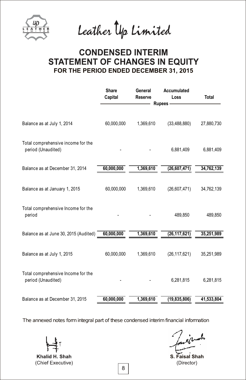

Leather Up Limited

# **CONDENSED INTERIM STATEMENT OF CHANGES IN EQUITY** FOR THE PERIOD ENDED DECEMBER 31, 2015

|                                                          | <b>Share</b><br>Capital | General<br><b>Reserve</b> | Accumulated<br>Loss | <b>Total</b> |  |
|----------------------------------------------------------|-------------------------|---------------------------|---------------------|--------------|--|
|                                                          | Rupees -                |                           |                     |              |  |
| Balance as at July 1, 2014                               | 60,000,000              | 1,369,610                 | (33, 488, 880)      | 27,880,730   |  |
| Total comprehensive income for the<br>period (Unaudited) |                         |                           | 6,881,409           | 6,881,409    |  |
| Balance as at December 31, 2014                          | 60,000,000              | 1,369,610                 | (26, 607, 471)      | 34,762,139   |  |
| Balance as at January 1, 2015                            | 60,000,000              | 1,369,610                 | (26,607,471)        | 34,762,139   |  |
| Total comprehensive Income for the<br>period             |                         |                           | 489,850             | 489,850      |  |
| Balance as at June 30, 2015 (Audited)                    | 60,000,000              | 1,369,610                 | (26, 117, 621)      | 35,251,989   |  |
| Balance as at July 1, 2015                               | 60,000,000              | 1,369,610                 | (26, 117, 621)      | 35,251,989   |  |
| Total comprehensive Income for the<br>period (Unaudited) |                         |                           | 6,281,815           | 6,281,815    |  |
| Balance as at December 31, 2015                          | 60,000,000              | 1,369,610                 | (19,835,806)        | 41,533,804   |  |

Khalid H. Shah (Chief Executive)

S. Faisal Shah(Director)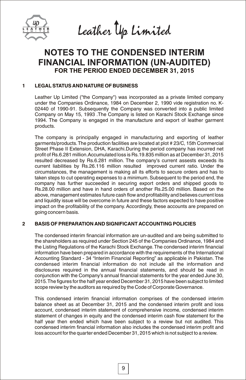

Leather Up Limited

# **NOTES TO THE CONDENSED INTERIM FINANCIAL INFORMATION (UN-AUDITED)** FOR THE PERIOD ENDED DECEMBER 31, 2015

# **1 LEGAL STATUS AND NATURE OF BUSINESS**

Leather Up Limited ("the Company") was incorporated as a private limited company under the Companies Ordinance, 1984 on December 2, 1990 vide registration no. K-02440 of 1990-91. Subsequently the Company was converted into a public limited Company on May 15, 1993 .The Company is listed on Karachi Stock Exchange since 1994. The Company is engaged in the manufacture and export of leather garment products.

The company is principally engaged in manufacturing and exporting of leather garments/products.The production facilities are located at plot # 23/C, 15th Commercial Street Phase II Extension, DHA, Karachi.During the period company has incurred net profit of Rs.6.281 million.Accumulated loss is Rs.19.835 million as at December 31, 2015 resulted decreased by Rs.6.281 million. The company's current assests exceeds its current liabilities by Rs.26.116 million resulted improved current ratio. Under the circumstances, the management is making all its efforts to secure orders and has to taken steps to cut operating expenses to a minimum. Subsequent to the period end, the company has further succeeded in securing export orders and shipped goods to Rs.28.00 million and have in hand orders of another Rs.25.00 million. Based on the above, management estimates future cash flow and profitability and believes current loss and liquidity issue will be overcome in future and these factors expected to have positive impact on the profitability of the company. Accordingly, these accounts are prepared on going concern basis.

# **2 BASIS OF PREPARATION AND SIGNIFICANT ACCOUNTING POLICIES**

The condensed interim financial information are un-audited and are being submitted to the shareholders as required under Section 245 of the Companies Ordinance, 1984 and the Listing Regulations of the Karachi Stock Exchange.The condensed interim financial information have been prepared in accordance with the requirements of the International Accounting Standard - 34 "Interim Financial Reporting" as applicable in Pakistan. The condensed interim financial information do not include all the information and disclosures required in the annual financial statements, and should be read in conjunction with the Company's annual financial statements for the year ended June 30, 2015.The figures for the half year ended December 31, 2015 have been subject to limited scope review by the auditors as required by the Code of Corporate Governance.

This condensed interim financial information comprises of the condensed interim balance sheet as at December 31, 2015 and the condensed interim profit and loss account, condensed interim statement of comprehensive income, condensed interim statement of changes in equity and the condensed interim cash flow statement for the half year then ended which have been subject to a review but not audited. This condensed interim financial information also includes the condensed interim profit and loss account for the quarter ended December 31, 2015 which is not subject to a review.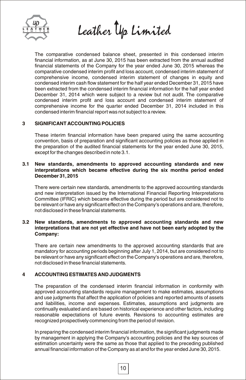

Leather Up Limited

The comparative condensed balance sheet, presented in this condensed interim financial information, as at June 30, 2015 has been extracted from the annual audited financial statements of the Company for the year ended June 30, 2015 whereas the comparative condensed interim profit and loss account, condensed interim statement of comprehensive income, condensed interim statement of changes in equity and condensed interim cash flow statement for the half year ended December 31, 2015 have been extracted from the condensed interim financial information for the half year ended December 31, 2014 which were subject to a review but not audit. The comparative condensed interim profit and loss account and condensed interim statement of comprehensive income for the quarter ended December 31, 2014 included in this condensed interim financial report was not subject to a review.

# **3 SIGNIFICANT ACCOUNTING POLICIES**

These interim financial information have been prepared using the same accounting convention, basis of preparation and significant accounting policies as those applied in the preparation of the audited financial statements for the year ended June 30, 2015, except for the changes described in note 3.1.

# **3.1 New standards, amendments to approved accounting standards and new interpretations which became effective during the six months period ended December 31,2015**

There were certain new standards, amendments to the approved accounting standards and new interpretation issued by the International Financial Reporting Interpretations Committee (IFRIC) which became effective during the period but are considered not to be relevant or have any significant effect on the Company's operations and are, therefore, not disclosed in these financial statements.

# **3.2 New standards, amendments to approved accounting standards and new interpretations that are not yet effective and have not been early adopted by the Company:**

There are certain new amendments to the approved accounting standards that are mandatory for accounting periods beginning after July 1, 2014, but are considered not to be relevant or have any significant effect on the Company's operations and are, therefore, not disclosed in these financial statements.

# **4 ACCOUNTING ESTIMATES AND JUDGMENTS**

The preparation of the condensed interim financial information in conformity with approved accounting standards require management to make estimates, assumptions and use judgments that affect the application of policies and reported amounts of assets and liabilities, income and expenses. Estimates, assumptions and judgments are continually evaluated and are based on historical experience and other factors, including reasonable expectations of future events. Revisions to accounting estimates are recognized prospectively commencing from the period of revision.

In preparing the condensed interim financial information, the significant judgments made by management in applying the Company's accounting policies and the key sources of estimation uncertainty were the same as those that applied to the preceding published annual financial information of the Company as at and for the year ended June 30, 2015.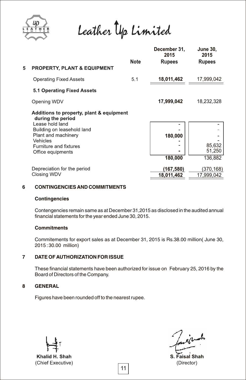

Leather Up Limited

| 5 | <b>PROPERTY, PLANT &amp; EQUIPMENT</b>                                                                                                                                                           | Note | December 31,<br>2015<br><b>Rupees</b> | <b>June 30,</b><br>2015<br><b>Rupees</b> |
|---|--------------------------------------------------------------------------------------------------------------------------------------------------------------------------------------------------|------|---------------------------------------|------------------------------------------|
|   | <b>Operating Fixed Assets</b>                                                                                                                                                                    | 5.1  | 18,011,462                            | 17,999,042                               |
|   | 5.1 Operating Fixed Assets                                                                                                                                                                       |      |                                       |                                          |
|   | Opening WDV                                                                                                                                                                                      |      | 17,999,042                            | 18,232,328                               |
|   | Additions to property, plant & equipment<br>during the period<br>Lease hold land<br>Building on leasehold land<br>Plant and machinery<br>Vehicles<br>Furniture and fixtures<br>Office equipments |      | 180,000<br>180,000                    | 85,632<br>51,250<br>136,882              |
|   | Depreciation for the period<br>Closing WDV                                                                                                                                                       |      | (167,580)<br>18,011,462               | (370,168)<br>17,999,042                  |

# **6 CONTINGENCIES AND COMMITMENTS**

### **Contingencies**

Contengencies remain same as at December 31,2015 as disclosed in the audited annual financial statements for the year ended June 30, 2015.

# **Commitments**

Commitements for export sales as at December 31, 2015 is Rs.38.00 million( June 30, 2015 :30.00 million)

# **7 DATE OF AUTHORIZATION FOR ISSUE**

These financial statements have been authorized for issue on February 25, 2016 by the Board of Directors of the Company.

# **8 GENERAL**

Figures have been rounded off to the nearest rupee.

Khalid H. Shah (Chief Executive)

┻

S. Faisal Shah (Director)